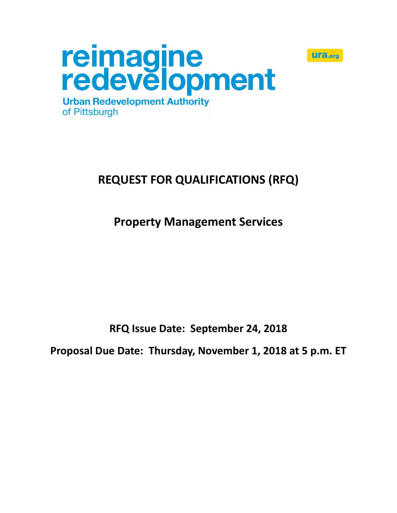



# **REQUEST FOR QUALIFICATIONS (RFQ)**

**Property Management Services**

**RFQ Issue Date: September 24, 2018**

**Proposal Due Date: Thursday, November 1, 2018 at 5 p.m. ET**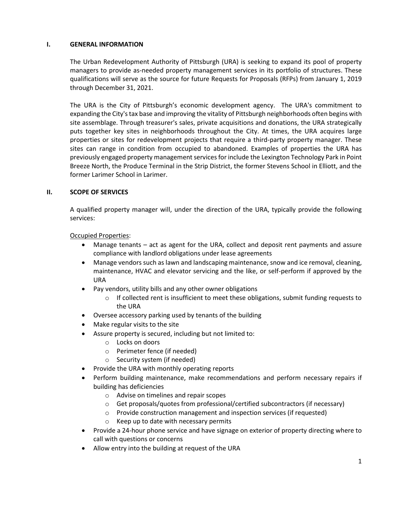#### **I. GENERAL INFORMATION**

The Urban Redevelopment Authority of Pittsburgh (URA) is seeking to expand its pool of property managers to provide as-needed property management services in its portfolio of structures. These qualifications will serve as the source for future Requests for Proposals (RFPs) from January 1, 2019 through December 31, 2021.

The URA is the City of Pittsburgh's economic development agency. The URA's commitment to expanding the City's tax base and improving the vitality of Pittsburgh neighborhoods often begins with site assemblage. Through treasurer's sales, private acquisitions and donations, the URA strategically puts together key sites in neighborhoods throughout the City. At times, the URA acquires large properties or sites for redevelopment projects that require a third-party property manager. These sites can range in condition from occupied to abandoned. Examples of properties the URA has previously engaged property management servicesforinclude the Lexington Technology Park in Point Breeze North, the Produce Terminal in the Strip District, the former Stevens School in Elliott, and the former Larimer School in Larimer.

## **II. SCOPE OF SERVICES**

A qualified property manager will, under the direction of the URA, typically provide the following services:

## Occupied Properties:

- Manage tenants act as agent for the URA, collect and deposit rent payments and assure compliance with landlord obligations under lease agreements
- Manage vendors such as lawn and landscaping maintenance, snow and ice removal, cleaning, maintenance, HVAC and elevator servicing and the like, or self-perform if approved by the URA
- Pay vendors, utility bills and any other owner obligations
	- $\circ$  If collected rent is insufficient to meet these obligations, submit funding requests to the URA
- Oversee accessory parking used by tenants of the building
- Make regular visits to the site
- Assure property is secured, including but not limited to:
	- o Locks on doors
	- o Perimeter fence (if needed)
	- o Security system (if needed)
- Provide the URA with monthly operating reports
- Perform building maintenance, make recommendations and perform necessary repairs if building has deficiencies
	- o Advise on timelines and repair scopes
	- o Get proposals/quotes from professional/certified subcontractors (if necessary)
	- o Provide construction management and inspection services (if requested)
	- o Keep up to date with necessary permits
- Provide a 24-hour phone service and have signage on exterior of property directing where to call with questions or concerns
- Allow entry into the building at request of the URA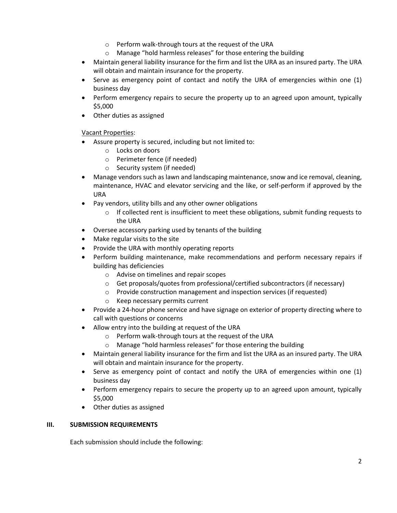- o Perform walk-through tours at the request of the URA
- o Manage "hold harmless releases" for those entering the building
- Maintain general liability insurance for the firm and list the URA as an insured party. The URA will obtain and maintain insurance for the property.
- Serve as emergency point of contact and notify the URA of emergencies within one (1) business day
- Perform emergency repairs to secure the property up to an agreed upon amount, typically \$5,000
- Other duties as assigned

Vacant Properties:

- Assure property is secured, including but not limited to:
	- o Locks on doors
	- o Perimeter fence (if needed)
	- o Security system (if needed)
- Manage vendors such as lawn and landscaping maintenance, snow and ice removal, cleaning, maintenance, HVAC and elevator servicing and the like, or self-perform if approved by the URA
- Pay vendors, utility bills and any other owner obligations
	- $\circ$  If collected rent is insufficient to meet these obligations, submit funding requests to the URA
- Oversee accessory parking used by tenants of the building
- Make regular visits to the site
- Provide the URA with monthly operating reports
- Perform building maintenance, make recommendations and perform necessary repairs if building has deficiencies
	- o Advise on timelines and repair scopes
	- o Get proposals/quotes from professional/certified subcontractors (if necessary)
	- o Provide construction management and inspection services (if requested)
	- o Keep necessary permits current
- Provide a 24-hour phone service and have signage on exterior of property directing where to call with questions or concerns
- Allow entry into the building at request of the URA
	- o Perform walk-through tours at the request of the URA
	- o Manage "hold harmless releases" for those entering the building
- Maintain general liability insurance for the firm and list the URA as an insured party. The URA will obtain and maintain insurance for the property.
- Serve as emergency point of contact and notify the URA of emergencies within one (1) business day
- Perform emergency repairs to secure the property up to an agreed upon amount, typically \$5,000
- Other duties as assigned

#### **III. SUBMISSION REQUIREMENTS**

Each submission should include the following: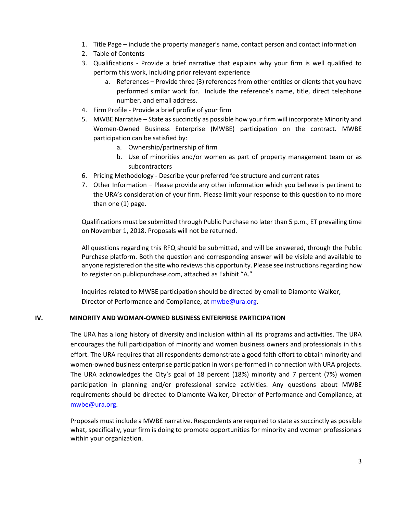- 1. Title Page include the property manager's name, contact person and contact information
- 2. Table of Contents
- 3. Qualifications Provide a brief narrative that explains why your firm is well qualified to perform this work, including prior relevant experience
	- a. References Provide three (3) references from other entities or clients that you have performed similar work for. Include the reference's name, title, direct telephone number, and email address.
- 4. Firm Profile Provide a brief profile of your firm
- 5. MWBE Narrative State as succinctly as possible how your firm will incorporate Minority and Women-Owned Business Enterprise (MWBE) participation on the contract. MWBE participation can be satisfied by:
	- a. Ownership/partnership of firm
	- b. Use of minorities and/or women as part of property management team or as subcontractors
- 6. Pricing Methodology Describe your preferred fee structure and current rates
- 7. Other Information Please provide any other information which you believe is pertinent to the URA's consideration of your firm. Please limit your response to this question to no more than one (1) page.

Qualifications must be submitted through Public Purchase no later than 5 p.m., ET prevailing time on November 1, 2018. Proposals will not be returned.

All questions regarding this RFQ should be submitted, and will be answered, through the Public Purchase platform. Both the question and corresponding answer will be visible and available to anyone registered on the site who reviews this opportunity. Please see instructions regarding how to register on publicpurchase.com, attached as Exhibit "A."

Inquiries related to MWBE participation should be directed by email to Diamonte Walker, Director of Performance and Compliance, at [mwbe@ura.org.](file:///C:/Users/LMoses/AppData/Local/Microsoft/Windows/Temporary%20Internet%20Files/Content.Outlook/RT3K8P8B/mwbe@ura.org)

#### **IV. MINORITY AND WOMAN-OWNED BUSINESS ENTERPRISE PARTICIPATION**

The URA has a long history of diversity and inclusion within all its programs and activities. The URA encourages the full participation of minority and women business owners and professionals in this effort. The URA requires that all respondents demonstrate a good faith effort to obtain minority and women-owned business enterprise participation in work performed in connection with URA projects. The URA acknowledges the City's goal of 18 percent (18%) minority and 7 percent (7%) women participation in planning and/or professional service activities. Any questions about MWBE requirements should be directed to Diamonte Walker, Director of Performance and Compliance, at [mwbe@ura.org.](file:///C:/Users/LMoses/AppData/Local/Microsoft/Windows/Temporary%20Internet%20Files/Content.Outlook/RT3K8P8B/mwbe@ura.org)

Proposals must include a MWBE narrative. Respondents are required to state as succinctly as possible what, specifically, your firm is doing to promote opportunities for minority and women professionals within your organization.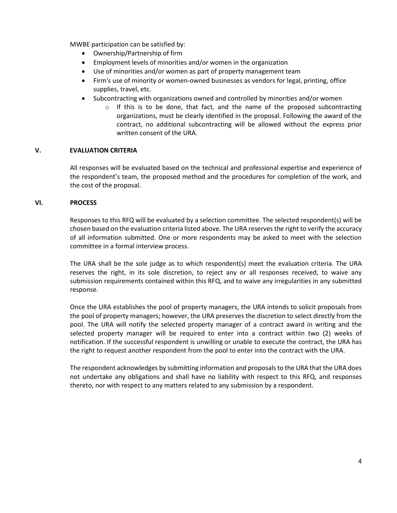MWBE participation can be satisfied by:

- Ownership/Partnership of firm
- Employment levels of minorities and/or women in the organization
- Use of minorities and/or women as part of property management team
- Firm's use of minority or women-owned businesses as vendors for legal, printing, office supplies, travel, etc.
- Subcontracting with organizations owned and controlled by minorities and/or women
	- $\circ$  If this is to be done, that fact, and the name of the proposed subcontracting organizations, must be clearly identified in the proposal. Following the award of the contract, no additional subcontracting will be allowed without the express prior written consent of the URA.

#### **V. EVALUATION CRITERIA**

All responses will be evaluated based on the technical and professional expertise and experience of the respondent's team, the proposed method and the procedures for completion of the work, and the cost of the proposal.

#### **VI. PROCESS**

Responses to this RFQ will be evaluated by a selection committee. The selected respondent(s) will be chosen based on the evaluation criteria listed above. The URA reserves the right to verify the accuracy of all information submitted. One or more respondents may be asked to meet with the selection committee in a formal interview process.

The URA shall be the sole judge as to which respondent(s) meet the evaluation criteria. The URA reserves the right, in its sole discretion, to reject any or all responses received, to waive any submission requirements contained within this RFQ, and to waive any irregularities in any submitted response.

Once the URA establishes the pool of property managers, the URA intends to solicit proposals from the pool of property managers; however, the URA preserves the discretion to select directly from the pool. The URA will notify the selected property manager of a contract award in writing and the selected property manager will be required to enter into a contract within two (2) weeks of notification. If the successful respondent is unwilling or unable to execute the contract, the URA has the right to request another respondent from the pool to enter into the contract with the URA.

The respondent acknowledges by submitting information and proposals to the URA that the URA does not undertake any obligations and shall have no liability with respect to this RFQ, and responses thereto, nor with respect to any matters related to any submission by a respondent.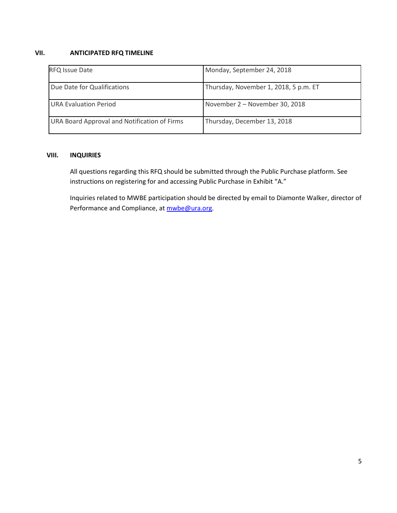## **VII. ANTICIPATED RFQ TIMELINE**

| <b>RFQ Issue Date</b>                        | Monday, September 24, 2018            |
|----------------------------------------------|---------------------------------------|
| Due Date for Qualifications                  | Thursday, November 1, 2018, 5 p.m. ET |
| <b>URA Evaluation Period</b>                 | November 2 - November 30, 2018        |
| URA Board Approval and Notification of Firms | Thursday, December 13, 2018           |

## **VIII. INQUIRIES**

All questions regarding this RFQ should be submitted through the Public Purchase platform. See instructions on registering for and accessing Public Purchase in Exhibit "A."

Inquiries related to MWBE participation should be directed by email to Diamonte Walker, director of Performance and Compliance, at [mwbe@ura.org.](file:///C:/Users/LMoses/AppData/Local/Microsoft/Windows/Temporary%20Internet%20Files/Content.Outlook/RT3K8P8B/mwbe@ura.org)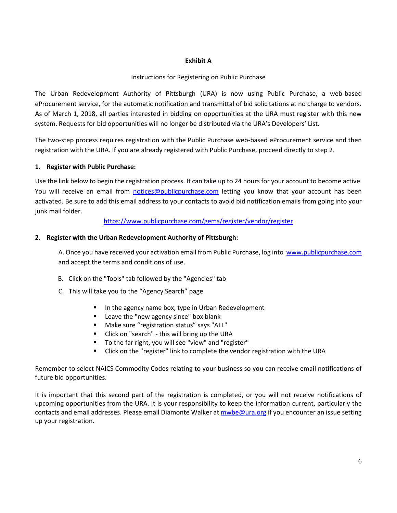## **Exhibit A**

## Instructions for Registering on Public Purchase

The Urban Redevelopment Authority of Pittsburgh (URA) is now using Public Purchase, a web-based eProcurement service, for the automatic notification and transmittal of bid solicitations at no charge to vendors. As of March 1, 2018, all parties interested in bidding on opportunities at the URA must register with this new system. Requests for bid opportunities will no longer be distributed via the URA's Developers' List.

The two-step process requires registration with the Public Purchase web-based eProcurement service and then registration with the URA. If you are already registered with Public Purchase, proceed directly to step 2.

## **1. Register with Public Purchase:**

Use the link below to begin the registration process. It can take up to 24 hours for your account to become active. You will receive an email from [notices@publicpurchase.com](mailto:notices@publicpurchase.com) letting you know that your account has been activated. Be sure to add this email address to your contacts to avoid bid notification emails from going into your junk mail folder.

## <https://www.publicpurchase.com/gems/register/vendor/register>

## **2. Register with the Urban Redevelopment Authority of Pittsburgh:**

A. Once you have received your activation email from Public Purchase, log into [www.publicpurchase.com](http://www.publicpurchase.com/) and accept the terms and conditions of use.

- B. Click on the "Tools" tab followed by the "Agencies" tab
- C. This will take you to the "Agency Search" page
	- In the agency name box, type in Urban Redevelopment
	- Leave the "new agency since" box blank
	- Make sure "registration status" says "ALL"
	- Click on "search" this will bring up the URA
	- To the far right, you will see "view" and "register"
	- Click on the "register" link to complete the vendor registration with the URA

Remember to select NAICS Commodity Codes relating to your business so you can receive email notifications of future bid opportunities.

It is important that this second part of the registration is completed, or you will not receive notifications of upcoming opportunities from the URA. It is your responsibility to keep the information current, particularly the contacts and email addresses. Please email Diamonte Walker a[t mwbe@ura.org](mailto:mwbe@ura.org) if you encounter an issue setting up your registration.